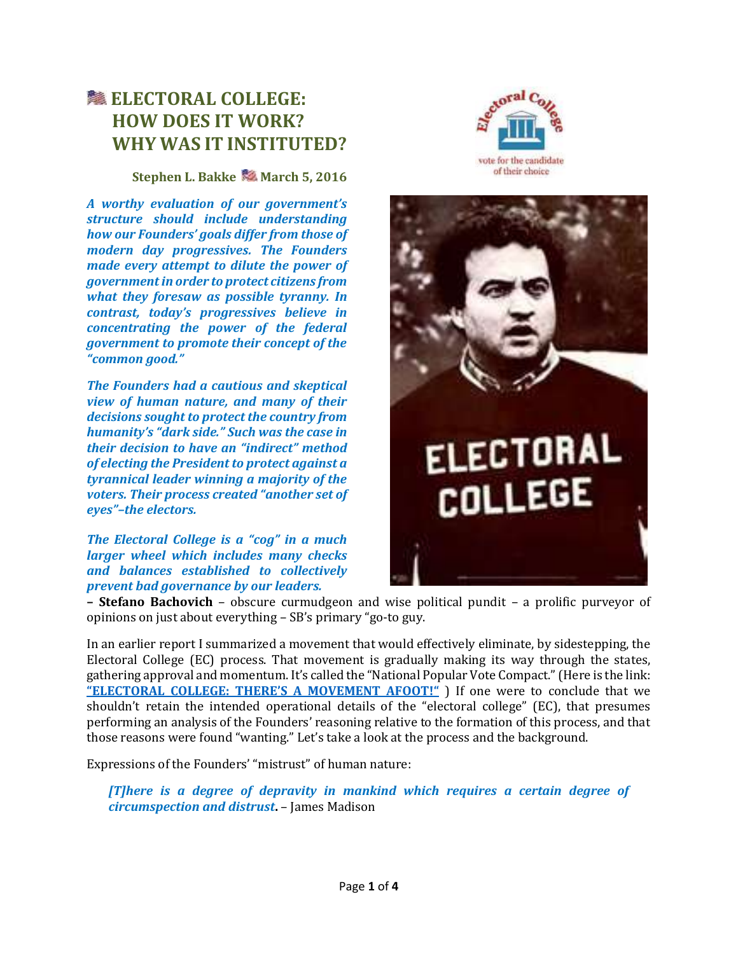# **LECTORAL COLLEGE: HOW DOES IT WORK? WHY WAS IT INSTITUTED?**

#### **Stephen L. Bakke March 5, 2016**

*A worthy evaluation of our government's structure should include understanding how our Founders' goals differ from those of modern day progressives. The Founders made every attempt to dilute the power of government in order to protect citizens from what they foresaw as possible tyranny. In contrast, today's progressives believe in concentrating the power of the federal government to promote their concept of the "common good."* 

*The Founders had a cautious and skeptical view of human nature, and many of their decisions sought to protect the country from humanity's "dark side." Such was the case in their decision to have an "indirect" method of electing the President to protect against a tyrannical leader winning a majority of the voters. Their process created "another set of eyes"–the electors.*

#### *The Electoral College is a "cog" in a much larger wheel which includes many checks and balances established to collectively prevent bad governance by our leaders.*





**– Stefano Bachovich** – obscure curmudgeon and wise political pundit – a prolific purveyor of opinions on just about everything – SB's primary "go-to guy.

In an earlier report I summarized a movement that would effectively eliminate, by sidestepping, the Electoral College (EC) process. That movement is gradually making its way through the states, gathering approval and momentum. It's called the "National Popular Vote Compact." (Here is the link: **["ELECTORAL COLLEGE: THERE'S A MOVEMENT AFOOT!"](http://nebula.wsimg.com/77717992a952369cb5f66a8a96b6a2fe?AccessKeyId=B6A0E2535C01C341D753&disposition=0&alloworigin=1)** ) If one were to conclude that we shouldn't retain the intended operational details of the "electoral college" (EC), that presumes performing an analysis of the Founders' reasoning relative to the formation of this process, and that those reasons were found "wanting." Let's take a look at the process and the background.

Expressions of the Founders' "mistrust" of human nature:

*[T]here is a degree of depravity in mankind which requires a certain degree of circumspection and distrust***.** – James Madison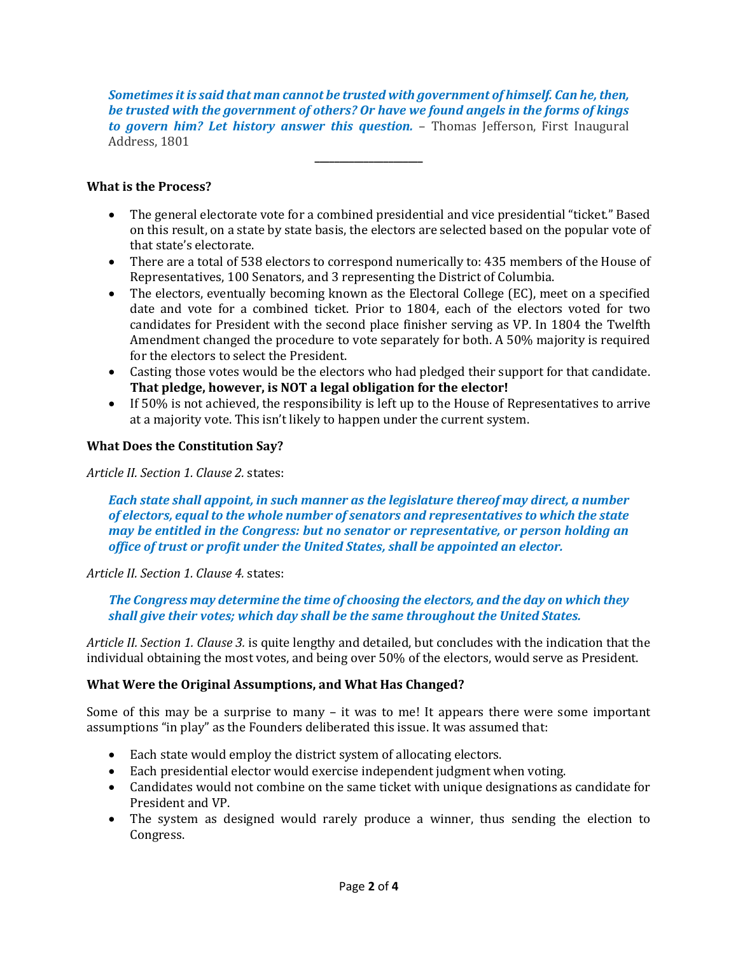*Sometimes it is said that man cannot be trusted with government of himself. Can he, then, be trusted with the government of others? Or have we found angels in the forms of kings to govern him? Let history answer this question.* – Thomas Jefferson, First Inaugural Address, 1801

**\_\_\_\_\_\_\_\_\_\_\_\_\_\_\_\_\_\_\_\_\_\_**

## **What is the Process?**

- The general electorate vote for a combined presidential and vice presidential "ticket." Based on this result, on a state by state basis, the electors are selected based on the popular vote of that state's electorate.
- There are a total of 538 electors to correspond numerically to: 435 members of the House of Representatives, 100 Senators, and 3 representing the District of Columbia.
- The electors, eventually becoming known as the Electoral College (EC), meet on a specified date and vote for a combined ticket. Prior to 1804, each of the electors voted for two candidates for President with the second place finisher serving as VP. In 1804 the Twelfth Amendment changed the procedure to vote separately for both. A 50% majority is required for the electors to select the President.
- Casting those votes would be the electors who had pledged their support for that candidate. **That pledge, however, is NOT a legal obligation for the elector!**
- If 50% is not achieved, the responsibility is left up to the House of Representatives to arrive at a majority vote. This isn't likely to happen under the current system.

## **What Does the Constitution Say?**

#### *Article II. Section 1. Clause 2.* states:

*Each state shall appoint, in such manner as the legislature thereof may direct, a number of electors, equal to the whole number of senators and representatives to which the state may be entitled in the Congress: but no senator or representative, or person holding an office of trust or profit under the United States, shall be appointed an elector.*

## *Article II. Section 1. Clause 4.* states:

*The Congress may determine the time of choosing the electors, and the day on which they shall give their votes; which day shall be the same throughout the United States.*

*Article II. Section 1. Clause 3.* is quite lengthy and detailed, but concludes with the indication that the individual obtaining the most votes, and being over 50% of the electors, would serve as President.

## **What Were the Original Assumptions, and What Has Changed?**

Some of this may be a surprise to many – it was to me! It appears there were some important assumptions "in play" as the Founders deliberated this issue. It was assumed that:

- Each state would employ the district system of allocating electors.
- Each presidential elector would exercise independent judgment when voting.
- Candidates would not combine on the same ticket with unique designations as candidate for President and VP.
- The system as designed would rarely produce a winner, thus sending the election to Congress.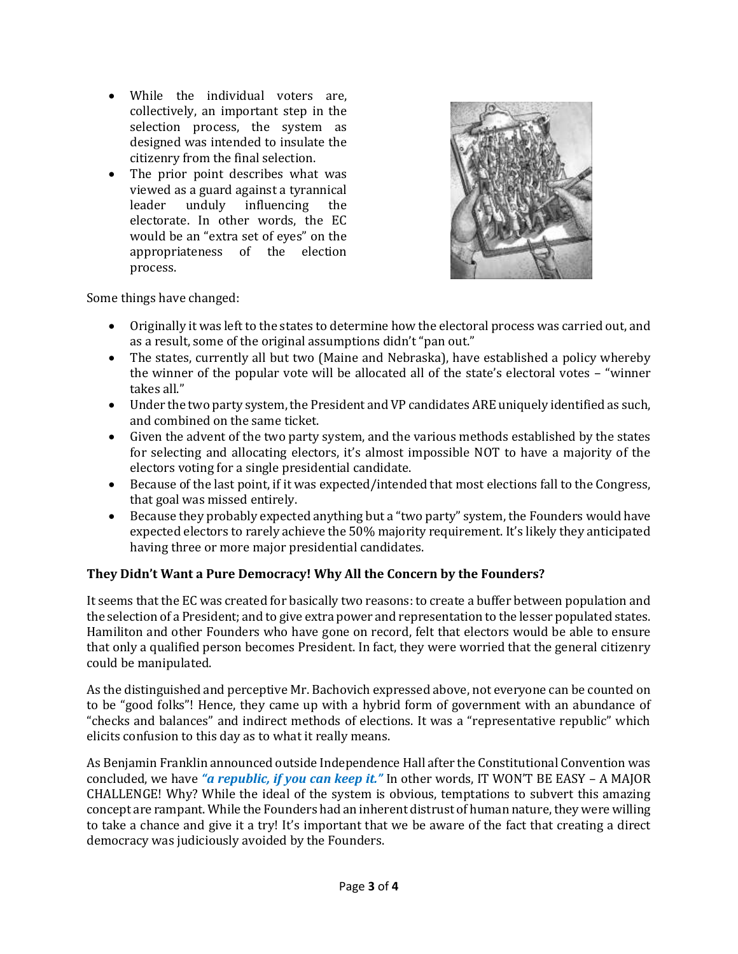- While the individual voters are, collectively, an important step in the selection process, the system as designed was intended to insulate the citizenry from the final selection.
- The prior point describes what was viewed as a guard against a tyrannical leader unduly influencing the electorate. In other words, the EC would be an "extra set of eyes" on the appropriateness of the election process.



Some things have changed:

- Originally it was left to the states to determine how the electoral process was carried out, and as a result, some of the original assumptions didn't "pan out."
- The states, currently all but two (Maine and Nebraska), have established a policy whereby the winner of the popular vote will be allocated all of the state's electoral votes – "winner takes all."
- Under the two party system, the President and VP candidates ARE uniquely identified as such, and combined on the same ticket.
- Given the advent of the two party system, and the various methods established by the states for selecting and allocating electors, it's almost impossible NOT to have a majority of the electors voting for a single presidential candidate.
- Because of the last point, if it was expected/intended that most elections fall to the Congress, that goal was missed entirely.
- Because they probably expected anything but a "two party" system, the Founders would have expected electors to rarely achieve the 50% majority requirement. It's likely they anticipated having three or more major presidential candidates.

# **They Didn't Want a Pure Democracy! Why All the Concern by the Founders?**

It seems that the EC was created for basically two reasons: to create a buffer between population and the selection of a President; and to give extra power and representation to the lesser populated states. Hamiliton and other Founders who have gone on record, felt that electors would be able to ensure that only a qualified person becomes President. In fact, they were worried that the general citizenry could be manipulated.

As the distinguished and perceptive Mr. Bachovich expressed above, not everyone can be counted on to be "good folks"! Hence, they came up with a hybrid form of government with an abundance of "checks and balances" and indirect methods of elections. It was a "representative republic" which elicits confusion to this day as to what it really means.

As Benjamin Franklin announced outside Independence Hall after the Constitutional Convention was concluded, we have *"a republic, if you can keep it."* In other words, IT WON'T BE EASY – A MAJOR CHALLENGE! Why? While the ideal of the system is obvious, temptations to subvert this amazing concept are rampant. While the Founders had an inherent distrust of human nature, they were willing to take a chance and give it a try! It's important that we be aware of the fact that creating a direct democracy was judiciously avoided by the Founders.